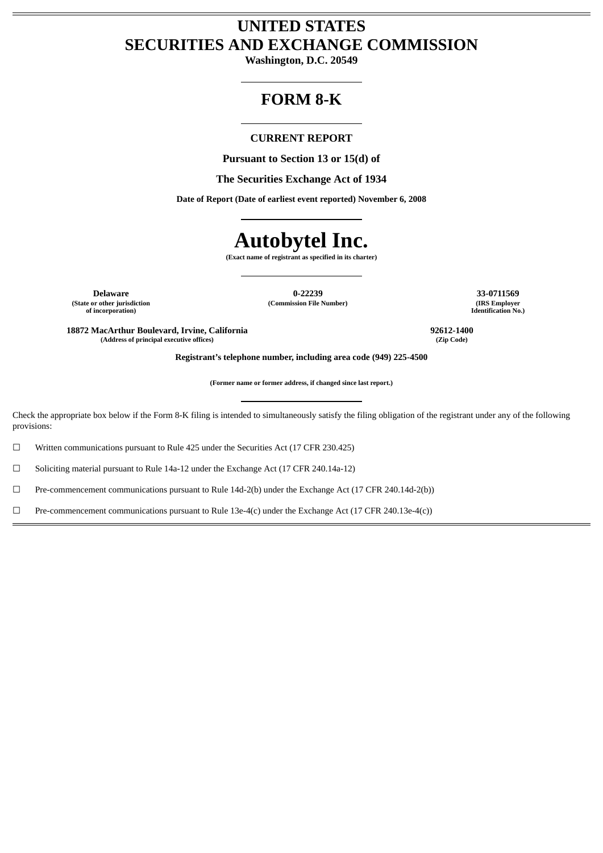# **UNITED STATES SECURITIES AND EXCHANGE COMMISSION**

**Washington, D.C. 20549**

# **FORM 8-K**

# **CURRENT REPORT**

**Pursuant to Section 13 or 15(d) of**

**The Securities Exchange Act of 1934**

**Date of Report (Date of earliest event reported) November 6, 2008**

# **Autobytel Inc.**

**(Exact name of registrant as specified in its charter)**

**(State or other jurisdiction of incorporation)**

**Delaware 0-22239 33-0711569 (Commission File Number)** 

**Identification No.)**

**18872 MacArthur Boulevard, Irvine, California 92612-1400 (Address of principal executive offices) (Zip Code)**

**Registrant's telephone number, including area code (949) 225-4500**

**(Former name or former address, if changed since last report.)**

Check the appropriate box below if the Form 8-K filing is intended to simultaneously satisfy the filing obligation of the registrant under any of the following provisions:

☐ Written communications pursuant to Rule 425 under the Securities Act (17 CFR 230.425)

☐ Soliciting material pursuant to Rule 14a-12 under the Exchange Act (17 CFR 240.14a-12)

☐ Pre-commencement communications pursuant to Rule 14d-2(b) under the Exchange Act (17 CFR 240.14d-2(b))

 $□$  Pre-commencement communications pursuant to Rule 13e-4(c) under the Exchange Act (17 CFR 240.13e-4(c))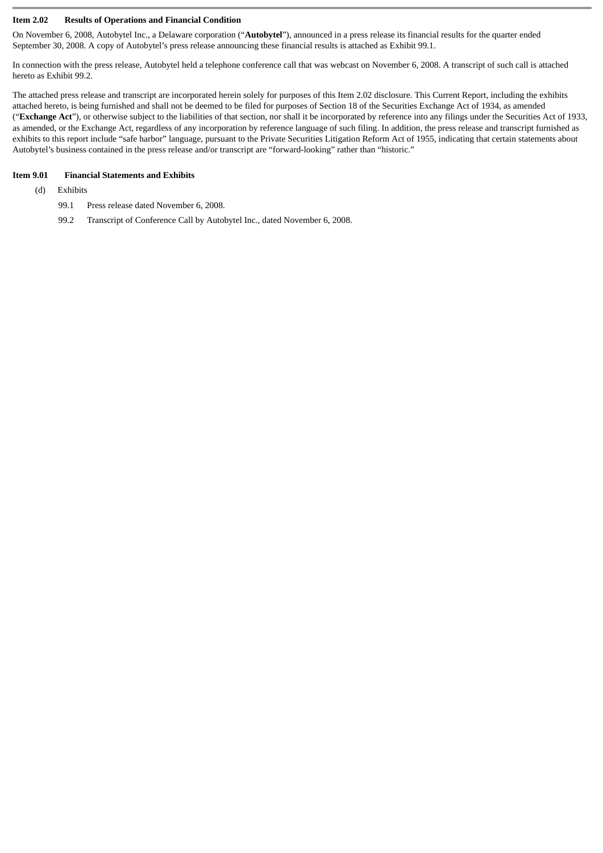#### **Item 2.02 Results of Operations and Financial Condition**

On November 6, 2008, Autobytel Inc., a Delaware corporation ("**Autobytel**"), announced in a press release its financial results for the quarter ended September 30, 2008. A copy of Autobytel's press release announcing these financial results is attached as Exhibit 99.1.

In connection with the press release, Autobytel held a telephone conference call that was webcast on November 6, 2008. A transcript of such call is attached hereto as Exhibit 99.2.

The attached press release and transcript are incorporated herein solely for purposes of this Item 2.02 disclosure. This Current Report, including the exhibits attached hereto, is being furnished and shall not be deemed to be filed for purposes of Section 18 of the Securities Exchange Act of 1934, as amended ("**Exchange Act**"), or otherwise subject to the liabilities of that section, nor shall it be incorporated by reference into any filings under the Securities Act of 1933, as amended, or the Exchange Act, regardless of any incorporation by reference language of such filing. In addition, the press release and transcript furnished as exhibits to this report include "safe harbor" language, pursuant to the Private Securities Litigation Reform Act of 1955, indicating that certain statements about Autobytel's business contained in the press release and/or transcript are "forward-looking" rather than "historic."

#### **Item 9.01 Financial Statements and Exhibits**

#### (d) Exhibits

- 99.1 Press release dated November 6, 2008.
- 99.2 Transcript of Conference Call by Autobytel Inc., dated November 6, 2008.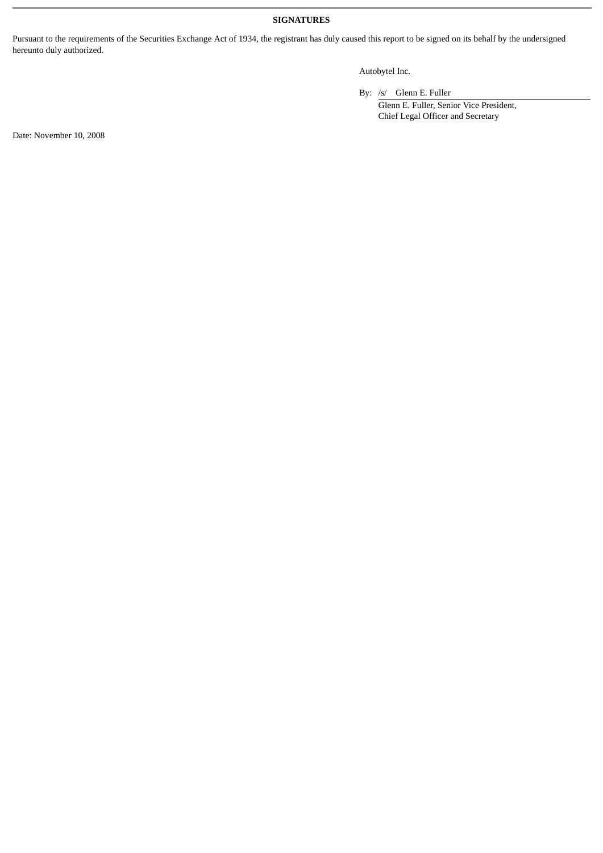# **SIGNATURES**

Pursuant to the requirements of the Securities Exchange Act of 1934, the registrant has duly caused this report to be signed on its behalf by the undersigned hereunto duly authorized.

# Autobytel Inc.

By: /s/ Glenn E. Fuller

Glenn E. Fuller, Senior Vice President, Chief Legal Officer and Secretary

Date: November 10, 2008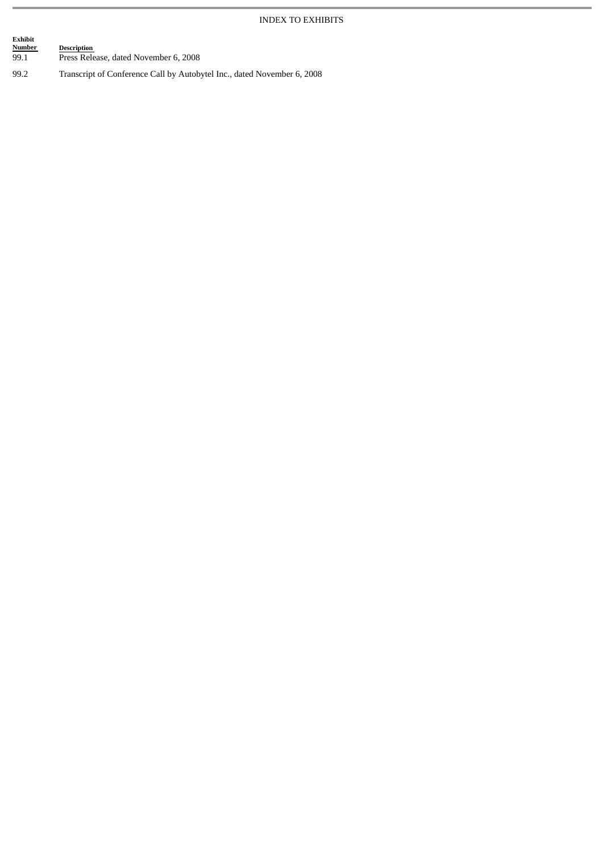# INDEX TO EXHIBITS

| Exhibit<br>Number<br>99.1 | <b>Description</b><br>Press Release, dated November 6, 2008     |  |
|---------------------------|-----------------------------------------------------------------|--|
| . വ                       | Transarint of Conforance Call by Autobrital Inc. dated November |  |

99.2 Transcript of Conference Call by Autobytel Inc., dated November 6, 2008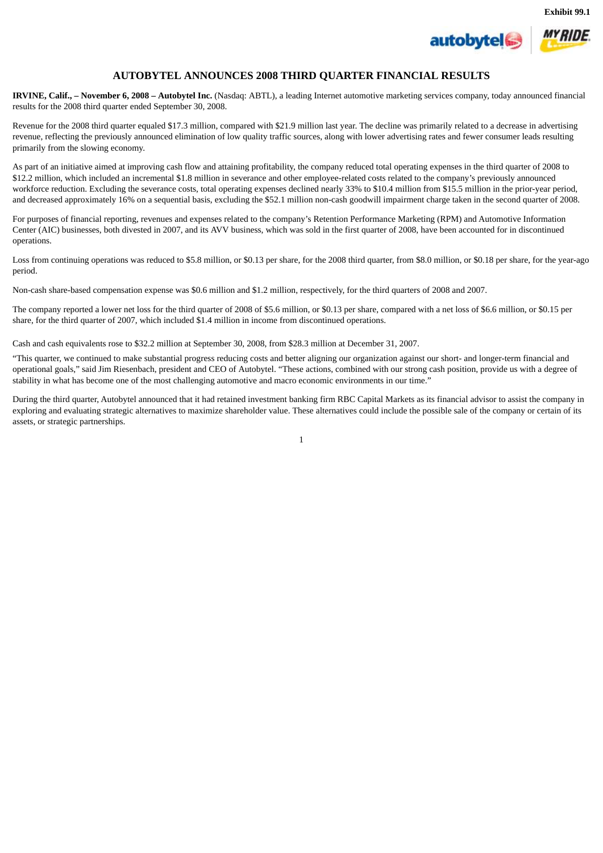



## **AUTOBYTEL ANNOUNCES 2008 THIRD QUARTER FINANCIAL RESULTS**

**IRVINE, Calif., – November 6, 2008 – Autobytel Inc.** (Nasdaq: ABTL), a leading Internet automotive marketing services company, today announced financial results for the 2008 third quarter ended September 30, 2008.

Revenue for the 2008 third quarter equaled \$17.3 million, compared with \$21.9 million last year. The decline was primarily related to a decrease in advertising revenue, reflecting the previously announced elimination of low quality traffic sources, along with lower advertising rates and fewer consumer leads resulting primarily from the slowing economy.

As part of an initiative aimed at improving cash flow and attaining profitability, the company reduced total operating expenses in the third quarter of 2008 to \$12.2 million, which included an incremental \$1.8 million in severance and other employee-related costs related to the company's previously announced workforce reduction. Excluding the severance costs, total operating expenses declined nearly 33% to \$10.4 million from \$15.5 million in the prior-year period, and decreased approximately 16% on a sequential basis, excluding the \$52.1 million non-cash goodwill impairment charge taken in the second quarter of 2008.

For purposes of financial reporting, revenues and expenses related to the company's Retention Performance Marketing (RPM) and Automotive Information Center (AIC) businesses, both divested in 2007, and its AVV business, which was sold in the first quarter of 2008, have been accounted for in discontinued operations.

Loss from continuing operations was reduced to \$5.8 million, or \$0.13 per share, for the 2008 third quarter, from \$8.0 million, or \$0.18 per share, for the year-ago period.

Non-cash share-based compensation expense was \$0.6 million and \$1.2 million, respectively, for the third quarters of 2008 and 2007.

The company reported a lower net loss for the third quarter of 2008 of \$5.6 million, or \$0.13 per share, compared with a net loss of \$6.6 million, or \$0.15 per share, for the third quarter of 2007, which included \$1.4 million in income from discontinued operations.

Cash and cash equivalents rose to \$32.2 million at September 30, 2008, from \$28.3 million at December 31, 2007.

"This quarter, we continued to make substantial progress reducing costs and better aligning our organization against our short- and longer-term financial and operational goals," said Jim Riesenbach, president and CEO of Autobytel. "These actions, combined with our strong cash position, provide us with a degree of stability in what has become one of the most challenging automotive and macro economic environments in our time."

During the third quarter, Autobytel announced that it had retained investment banking firm RBC Capital Markets as its financial advisor to assist the company in exploring and evaluating strategic alternatives to maximize shareholder value. These alternatives could include the possible sale of the company or certain of its assets, or strategic partnerships.

1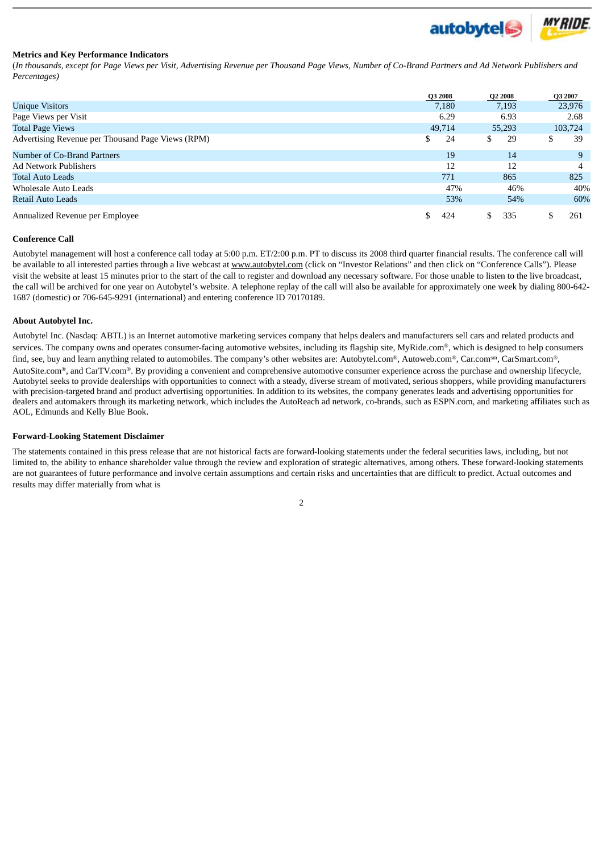

#### **Metrics and Key Performance Indicators**

(*In thousands, except for Page Views per Visit, Advertising Revenue per Thousand Page Views, Number of Co-Brand Partners and Ad Network Publishers and Percentages)*

|                                                   |     | Q3 2008 | Q2 2008 | Q3 2007 |         |
|---------------------------------------------------|-----|---------|---------|---------|---------|
| <b>Unique Visitors</b>                            |     | 7,180   | 7,193   |         | 23,976  |
| Page Views per Visit                              |     | 6.29    | 6.93    |         | 2.68    |
| <b>Total Page Views</b>                           |     | 49,714  | 55,293  |         | 103,724 |
| Advertising Revenue per Thousand Page Views (RPM) | \$  | 24      | 29      |         | 39      |
| Number of Co-Brand Partners                       |     | 19      | 14      |         | 9       |
| <b>Ad Network Publishers</b>                      |     | 12      | 12      |         |         |
| <b>Total Auto Leads</b>                           |     | 771     | 865     |         | 825     |
| Wholesale Auto Leads                              |     | 47%     | 46%     |         | 40%     |
| Retail Auto Leads                                 |     | 53%     | 54%     |         | 60%     |
| Annualized Revenue per Employee                   | \$. | 424     | 335     |         | 261     |

#### **Conference Call**

Autobytel management will host a conference call today at 5:00 p.m. ET/2:00 p.m. PT to discuss its 2008 third quarter financial results. The conference call will be available to all interested parties through a live webcast at www.autobytel.com (click on "Investor Relations" and then click on "Conference Calls"). Please visit the website at least 15 minutes prior to the start of the call to register and download any necessary software. For those unable to listen to the live broadcast, the call will be archived for one year on Autobytel's website. A telephone replay of the call will also be available for approximately one week by dialing 800-642- 1687 (domestic) or 706-645-9291 (international) and entering conference ID 70170189.

#### **About Autobytel Inc.**

Autobytel Inc. (Nasdaq: ABTL) is an Internet automotive marketing services company that helps dealers and manufacturers sell cars and related products and services. The company owns and operates consumer-facing automotive websites, including its flagship site, MyRide.com®, which is designed to help consumers find, see, buy and learn anything related to automobiles. The company's other websites are: Autobytel.com®, Autoweb.com®, Car.com®, CarSmart.com®, AutoSite.com®, and CarTV.com®. By providing a convenient and comprehensive automotive consumer experience across the purchase and ownership lifecycle, Autobytel seeks to provide dealerships with opportunities to connect with a steady, diverse stream of motivated, serious shoppers, while providing manufacturers with precision-targeted brand and product advertising opportunities. In addition to its websites, the company generates leads and advertising opportunities for dealers and automakers through its marketing network, which includes the AutoReach ad network, co-brands, such as ESPN.com, and marketing affiliates such as AOL, Edmunds and Kelly Blue Book.

#### **Forward-Looking Statement Disclaimer**

The statements contained in this press release that are not historical facts are forward-looking statements under the federal securities laws, including, but not limited to, the ability to enhance shareholder value through the review and exploration of strategic alternatives, among others. These forward-looking statements are not guarantees of future performance and involve certain assumptions and certain risks and uncertainties that are difficult to predict. Actual outcomes and results may differ materially from what is

2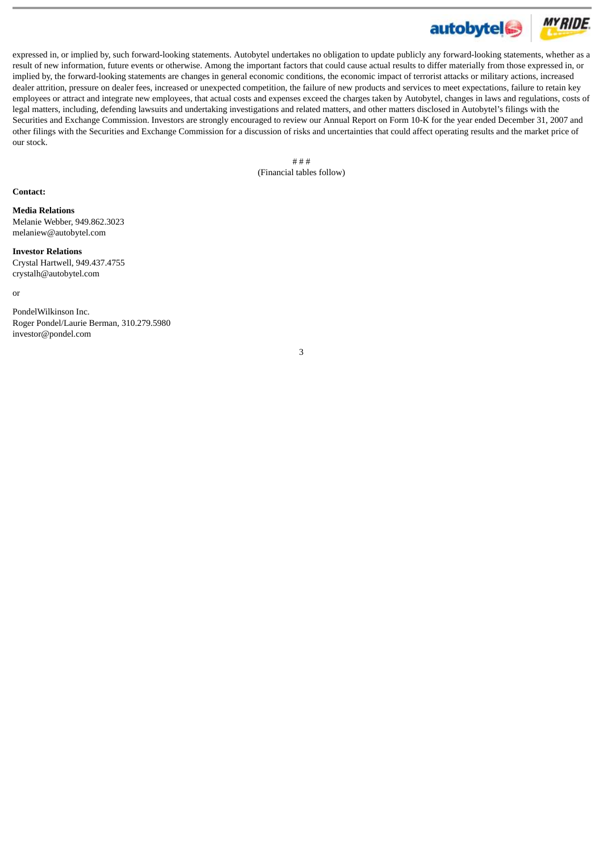

expressed in, or implied by, such forward-looking statements. Autobytel undertakes no obligation to update publicly any forward-looking statements, whether as a result of new information, future events or otherwise. Among the important factors that could cause actual results to differ materially from those expressed in, or implied by, the forward-looking statements are changes in general economic conditions, the economic impact of terrorist attacks or military actions, increased dealer attrition, pressure on dealer fees, increased or unexpected competition, the failure of new products and services to meet expectations, failure to retain key employees or attract and integrate new employees, that actual costs and expenses exceed the charges taken by Autobytel, changes in laws and regulations, costs of legal matters, including, defending lawsuits and undertaking investigations and related matters, and other matters disclosed in Autobytel's filings with the Securities and Exchange Commission. Investors are strongly encouraged to review our Annual Report on Form 10-K for the year ended December 31, 2007 and other filings with the Securities and Exchange Commission for a discussion of risks and uncertainties that could affect operating results and the market price of our stock.

> # # # (Financial tables follow)

#### **Contact:**

**Media Relations** Melanie Webber, 949.862.3023 melaniew@autobytel.com

**Investor Relations** Crystal Hartwell, 949.437.4755 crystalh@autobytel.com

or

PondelWilkinson Inc. Roger Pondel/Laurie Berman, 310.279.5980 investor@pondel.com

3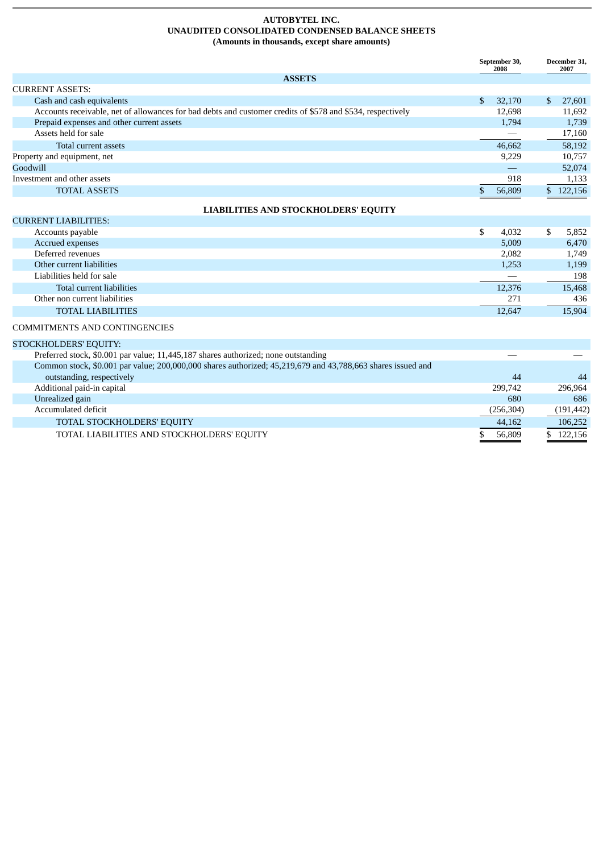#### **AUTOBYTEL INC. UNAUDITED CONSOLIDATED CONDENSED BALANCE SHEETS (Amounts in thousands, except share amounts)**

|                                                                                                            |              | September 30,<br>2008 |    | December 31,<br>2007 |
|------------------------------------------------------------------------------------------------------------|--------------|-----------------------|----|----------------------|
| <b>ASSETS</b>                                                                                              |              |                       |    |                      |
| <b>CURRENT ASSETS:</b>                                                                                     |              |                       |    |                      |
| Cash and cash equivalents                                                                                  | $\mathbf{s}$ | 32,170                | S. | 27,601               |
| Accounts receivable, net of allowances for bad debts and customer credits of \$578 and \$534, respectively |              | 12.698                |    | 11,692               |
| Prepaid expenses and other current assets                                                                  |              | 1.794                 |    | 1,739                |
| Assets held for sale                                                                                       |              |                       |    | 17,160               |
| Total current assets                                                                                       |              | 46.662                |    | 58,192               |
| Property and equipment, net                                                                                |              | 9.229                 |    | 10,757               |
| Goodwill                                                                                                   |              |                       |    | 52,074               |
| Investment and other assets                                                                                |              | 918                   |    | 1,133                |
| <b>TOTAL ASSETS</b>                                                                                        |              | 56,809                |    | 122,156              |

# **LIABILITIES AND STOCKHOLDERS' EQUITY**

| <b>CURRENT LIABILITIES:</b>   |  |        |        |
|-------------------------------|--|--------|--------|
| Accounts payable              |  | 4,032  | 5,852  |
| Accrued expenses              |  | 5,009  | 6,470  |
| Deferred revenues             |  | 2,082  | 1,749  |
| Other current liabilities     |  | 1,253  | 1,199  |
| Liabilities held for sale     |  |        | 198    |
| Total current liabilities     |  | 12,376 | 15,468 |
| Other non current liabilities |  | 271    | 436    |
| <b>TOTAL LIABILITIES</b>      |  | 12.647 | 15,904 |

## COMMITMENTS AND CONTINGENCIES

| STOCKHOLDERS' EQUITY:                                                                                       |            |            |
|-------------------------------------------------------------------------------------------------------------|------------|------------|
| Preferred stock, \$0.001 par value; 11,445,187 shares authorized; none outstanding                          |            |            |
| Common stock, \$0.001 par value; 200,000,000 shares authorized; 45,219,679 and 43,788,663 shares issued and |            |            |
| outstanding, respectively                                                                                   | 44         | 44         |
| Additional paid-in capital                                                                                  | 299,742    | 296.964    |
| Unrealized gain                                                                                             | 680        | 686        |
| Accumulated deficit                                                                                         | (256, 304) | (191, 442) |
| TOTAL STOCKHOLDERS' EQUITY                                                                                  | 44,162     | 106,252    |
| TOTAL LIABILITIES AND STOCKHOLDERS' EQUITY                                                                  | 56,809     | \$122,156  |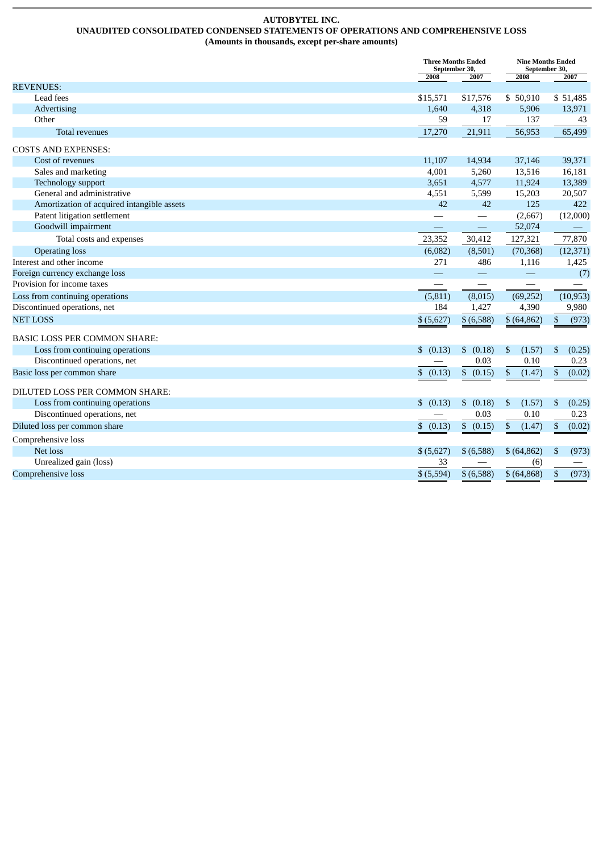#### **AUTOBYTEL INC. UNAUDITED CONSOLIDATED CONDENSED STATEMENTS OF OPERATIONS AND COMPREHENSIVE LOSS (Amounts in thousands, except per-share amounts)**

|                                            |                          | <b>Three Months Ended</b><br><b>Nine Months Ended</b><br>September 30,<br>September 30, |                          |                        |
|--------------------------------------------|--------------------------|-----------------------------------------------------------------------------------------|--------------------------|------------------------|
|                                            | 2008                     | 2007                                                                                    | 2008                     | 2007                   |
| <b>REVENUES:</b>                           |                          |                                                                                         |                          |                        |
| Lead fees                                  | \$15,571                 | \$17,576                                                                                | \$50,910                 | \$51,485               |
| Advertising                                | 1,640                    | 4,318                                                                                   | 5,906                    | 13,971                 |
| Other                                      | 59                       | 17                                                                                      | 137                      | 43                     |
| <b>Total revenues</b>                      | 17,270                   | 21,911                                                                                  | 56,953                   | 65,499                 |
| <b>COSTS AND EXPENSES:</b>                 |                          |                                                                                         |                          |                        |
| Cost of revenues                           | 11,107                   | 14,934                                                                                  | 37,146                   | 39,371                 |
| Sales and marketing                        | 4,001                    | 5,260                                                                                   | 13,516                   | 16,181                 |
| Technology support                         | 3,651                    | 4,577                                                                                   | 11,924                   | 13,389                 |
| General and administrative                 | 4,551                    | 5,599                                                                                   | 15,203                   | 20,507                 |
| Amortization of acquired intangible assets | 42                       | 42                                                                                      | 125                      | 422                    |
| Patent litigation settlement               |                          |                                                                                         | (2,667)                  | (12,000)               |
| Goodwill impairment                        | $\overline{\phantom{0}}$ |                                                                                         | 52,074                   |                        |
| Total costs and expenses                   | 23,352                   | 30,412                                                                                  | 127,321                  | 77,870                 |
| <b>Operating loss</b>                      | (6,082)                  | (8,501)                                                                                 | (70, 368)                | (12, 371)              |
| Interest and other income                  | 271                      | 486                                                                                     | 1,116                    | 1,425                  |
| Foreign currency exchange loss             |                          | $\overline{\phantom{0}}$                                                                | $\overline{\phantom{0}}$ | (7)                    |
| Provision for income taxes                 | $\overline{\phantom{0}}$ |                                                                                         | $\overline{\phantom{0}}$ |                        |
| Loss from continuing operations            | (5, 811)                 | (8,015)                                                                                 | (69, 252)                | (10, 953)              |
| Discontinued operations, net               | 184                      | 1,427                                                                                   | 4,390                    | 9,980                  |
| <b>NET LOSS</b>                            | \$ (5,627)               | \$ (6,588)                                                                              | \$ (64, 862)             | $\mathbb{S}$<br>(973)  |
| <b>BASIC LOSS PER COMMON SHARE:</b>        |                          |                                                                                         |                          |                        |
| Loss from continuing operations            | \$ (0.13)                | \$<br>(0.18)                                                                            | \$<br>(1.57)             | \$<br>(0.25)           |
| Discontinued operations, net               |                          | 0.03                                                                                    | 0.10                     | 0.23                   |
| Basic loss per common share                | \$ (0.13)                | \$<br>(0.15)                                                                            | $\mathbb{S}$<br>(1.47)   | $\mathbb{S}$<br>(0.02) |
| DILUTED LOSS PER COMMON SHARE:             |                          |                                                                                         |                          |                        |
| Loss from continuing operations            | \$ (0.13)                | \$<br>(0.18)                                                                            | \$<br>(1.57)             | \$<br>(0.25)           |
| Discontinued operations, net               |                          | 0.03                                                                                    | 0.10                     | 0.23                   |
| Diluted loss per common share              |                          | \$ (0.15)                                                                               | \$<br>(1.47)             | \$<br>(0.02)           |
| Comprehensive loss                         | \$ (0.13)                |                                                                                         |                          |                        |
| Net loss                                   | \$ (5,627)               | \$ (6,588)                                                                              | \$ (64, 862)             | \$<br>(973)            |
| Unrealized gain (loss)                     | 33                       |                                                                                         | (6)                      |                        |
|                                            | \$ (5,594)               |                                                                                         |                          |                        |
| Comprehensive loss                         |                          | \$ (6,588)                                                                              | \$ (64, 868)             | (973)<br>\$            |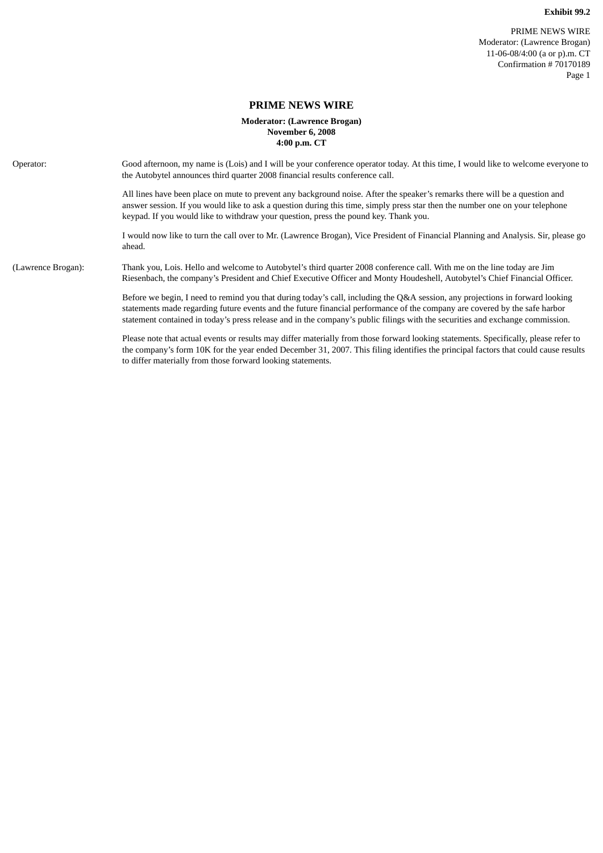# **PRIME NEWS WIRE**

## **Moderator: (Lawrence Brogan) November 6, 2008 4:00 p.m. CT**

| Operator:          | Good afternoon, my name is (Lois) and I will be your conference operator today. At this time, I would like to welcome everyone to<br>the Autobytel announces third quarter 2008 financial results conference call.                                                                                                                                                                           |
|--------------------|----------------------------------------------------------------------------------------------------------------------------------------------------------------------------------------------------------------------------------------------------------------------------------------------------------------------------------------------------------------------------------------------|
|                    | All lines have been place on mute to prevent any background noise. After the speaker's remarks there will be a question and<br>answer session. If you would like to ask a question during this time, simply press star then the number one on your telephone<br>keypad. If you would like to withdraw your question, press the pound key. Thank you.                                         |
|                    | I would now like to turn the call over to Mr. (Lawrence Brogan), Vice President of Financial Planning and Analysis. Sir, please go<br>ahead.                                                                                                                                                                                                                                                 |
| (Lawrence Brogan): | Thank you, Lois. Hello and welcome to Autobytel's third quarter 2008 conference call. With me on the line today are Jim<br>Riesenbach, the company's President and Chief Executive Officer and Monty Houdeshell, Autobytel's Chief Financial Officer.                                                                                                                                        |
|                    | Before we begin, I need to remind you that during today's call, including the Q&A session, any projections in forward looking<br>statements made regarding future events and the future financial performance of the company are covered by the safe harbor<br>statement contained in today's press release and in the company's public filings with the securities and exchange commission. |
|                    | Please note that actual events or results may differ materially from those forward looking statements. Specifically, please refer to<br>the company's form 10K for the year ended December 31, 2007. This filing identifies the principal factors that could cause results<br>to differ materially from those forward looking statements.                                                    |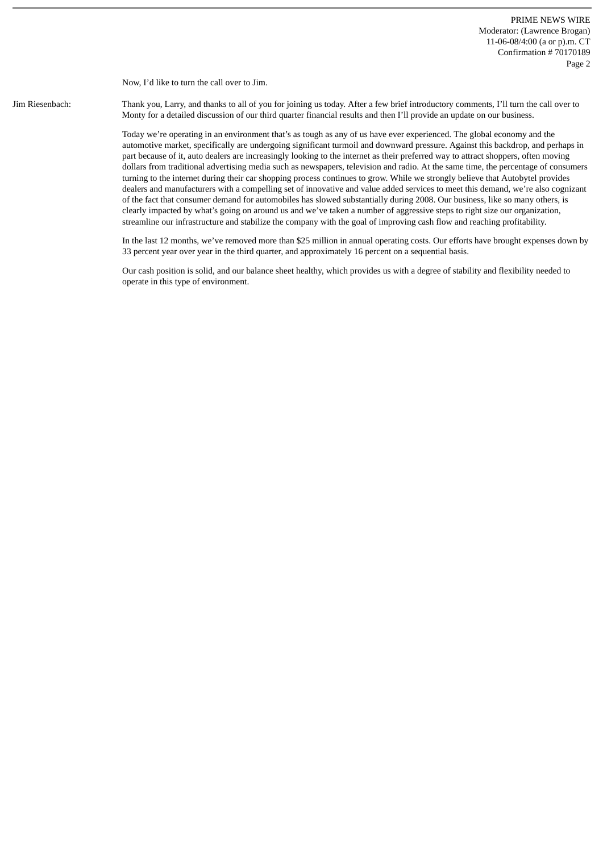Now, I'd like to turn the call over to Jim.

Jim Riesenbach: Thank you, Larry, and thanks to all of you for joining us today. After a few brief introductory comments, I'll turn the call over to Monty for a detailed discussion of our third quarter financial results and then I'll provide an update on our business.

> Today we're operating in an environment that's as tough as any of us have ever experienced. The global economy and the automotive market, specifically are undergoing significant turmoil and downward pressure. Against this backdrop, and perhaps in part because of it, auto dealers are increasingly looking to the internet as their preferred way to attract shoppers, often moving dollars from traditional advertising media such as newspapers, television and radio. At the same time, the percentage of consumers turning to the internet during their car shopping process continues to grow. While we strongly believe that Autobytel provides dealers and manufacturers with a compelling set of innovative and value added services to meet this demand, we're also cognizant of the fact that consumer demand for automobiles has slowed substantially during 2008. Our business, like so many others, is clearly impacted by what's going on around us and we've taken a number of aggressive steps to right size our organization, streamline our infrastructure and stabilize the company with the goal of improving cash flow and reaching profitability.

> In the last 12 months, we've removed more than \$25 million in annual operating costs. Our efforts have brought expenses down by 33 percent year over year in the third quarter, and approximately 16 percent on a sequential basis.

Our cash position is solid, and our balance sheet healthy, which provides us with a degree of stability and flexibility needed to operate in this type of environment.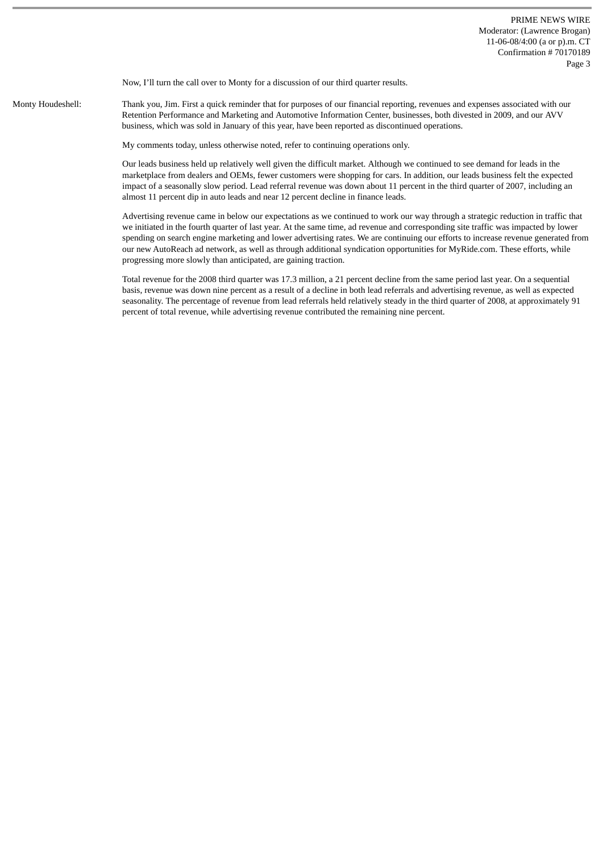Now, I'll turn the call over to Monty for a discussion of our third quarter results.

Monty Houdeshell: Thank you, Jim. First a quick reminder that for purposes of our financial reporting, revenues and expenses associated with our Retention Performance and Marketing and Automotive Information Center, businesses, both divested in 2009, and our AVV business, which was sold in January of this year, have been reported as discontinued operations.

My comments today, unless otherwise noted, refer to continuing operations only.

Our leads business held up relatively well given the difficult market. Although we continued to see demand for leads in the marketplace from dealers and OEMs, fewer customers were shopping for cars. In addition, our leads business felt the expected impact of a seasonally slow period. Lead referral revenue was down about 11 percent in the third quarter of 2007, including an almost 11 percent dip in auto leads and near 12 percent decline in finance leads.

Advertising revenue came in below our expectations as we continued to work our way through a strategic reduction in traffic that we initiated in the fourth quarter of last year. At the same time, ad revenue and corresponding site traffic was impacted by lower spending on search engine marketing and lower advertising rates. We are continuing our efforts to increase revenue generated from our new AutoReach ad network, as well as through additional syndication opportunities for MyRide.com. These efforts, while progressing more slowly than anticipated, are gaining traction.

Total revenue for the 2008 third quarter was 17.3 million, a 21 percent decline from the same period last year. On a sequential basis, revenue was down nine percent as a result of a decline in both lead referrals and advertising revenue, as well as expected seasonality. The percentage of revenue from lead referrals held relatively steady in the third quarter of 2008, at approximately 91 percent of total revenue, while advertising revenue contributed the remaining nine percent.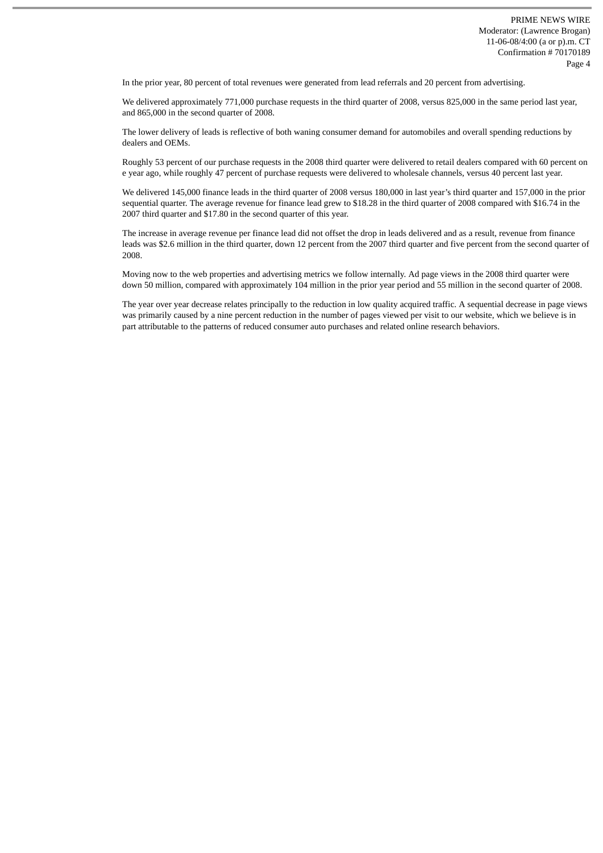In the prior year, 80 percent of total revenues were generated from lead referrals and 20 percent from advertising.

We delivered approximately 771,000 purchase requests in the third quarter of 2008, versus 825,000 in the same period last year, and 865,000 in the second quarter of 2008.

The lower delivery of leads is reflective of both waning consumer demand for automobiles and overall spending reductions by dealers and OEMs.

Roughly 53 percent of our purchase requests in the 2008 third quarter were delivered to retail dealers compared with 60 percent on e year ago, while roughly 47 percent of purchase requests were delivered to wholesale channels, versus 40 percent last year.

We delivered 145,000 finance leads in the third quarter of 2008 versus 180,000 in last year's third quarter and 157,000 in the prior sequential quarter. The average revenue for finance lead grew to \$18.28 in the third quarter of 2008 compared with \$16.74 in the 2007 third quarter and \$17.80 in the second quarter of this year.

The increase in average revenue per finance lead did not offset the drop in leads delivered and as a result, revenue from finance leads was \$2.6 million in the third quarter, down 12 percent from the 2007 third quarter and five percent from the second quarter of 2008.

Moving now to the web properties and advertising metrics we follow internally. Ad page views in the 2008 third quarter were down 50 million, compared with approximately 104 million in the prior year period and 55 million in the second quarter of 2008.

The year over year decrease relates principally to the reduction in low quality acquired traffic. A sequential decrease in page views was primarily caused by a nine percent reduction in the number of pages viewed per visit to our website, which we believe is in part attributable to the patterns of reduced consumer auto purchases and related online research behaviors.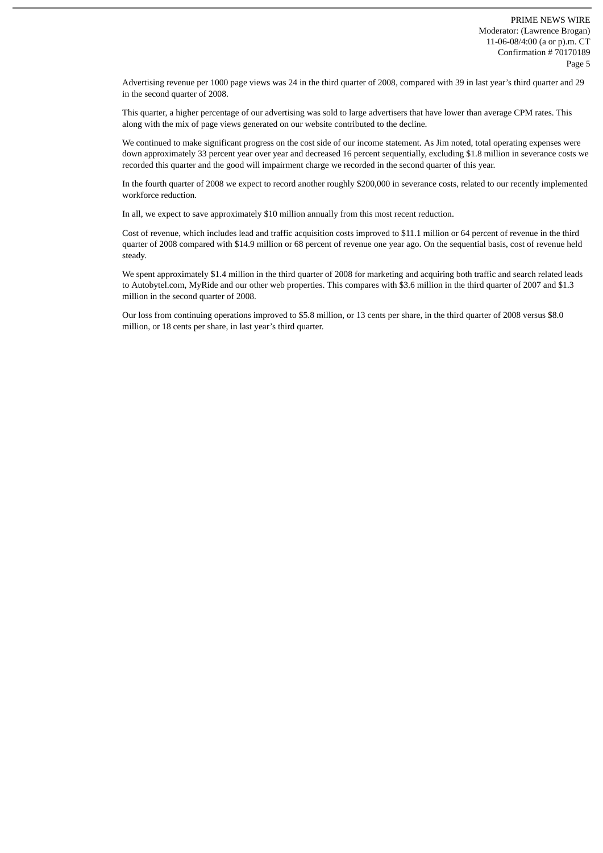Advertising revenue per 1000 page views was 24 in the third quarter of 2008, compared with 39 in last year's third quarter and 29 in the second quarter of 2008.

This quarter, a higher percentage of our advertising was sold to large advertisers that have lower than average CPM rates. This along with the mix of page views generated on our website contributed to the decline.

We continued to make significant progress on the cost side of our income statement. As Jim noted, total operating expenses were down approximately 33 percent year over year and decreased 16 percent sequentially, excluding \$1.8 million in severance costs we recorded this quarter and the good will impairment charge we recorded in the second quarter of this year.

In the fourth quarter of 2008 we expect to record another roughly \$200,000 in severance costs, related to our recently implemented workforce reduction.

In all, we expect to save approximately \$10 million annually from this most recent reduction.

Cost of revenue, which includes lead and traffic acquisition costs improved to \$11.1 million or 64 percent of revenue in the third quarter of 2008 compared with \$14.9 million or 68 percent of revenue one year ago. On the sequential basis, cost of revenue held steady.

We spent approximately \$1.4 million in the third quarter of 2008 for marketing and acquiring both traffic and search related leads to Autobytel.com, MyRide and our other web properties. This compares with \$3.6 million in the third quarter of 2007 and \$1.3 million in the second quarter of 2008.

Our loss from continuing operations improved to \$5.8 million, or 13 cents per share, in the third quarter of 2008 versus \$8.0 million, or 18 cents per share, in last year's third quarter.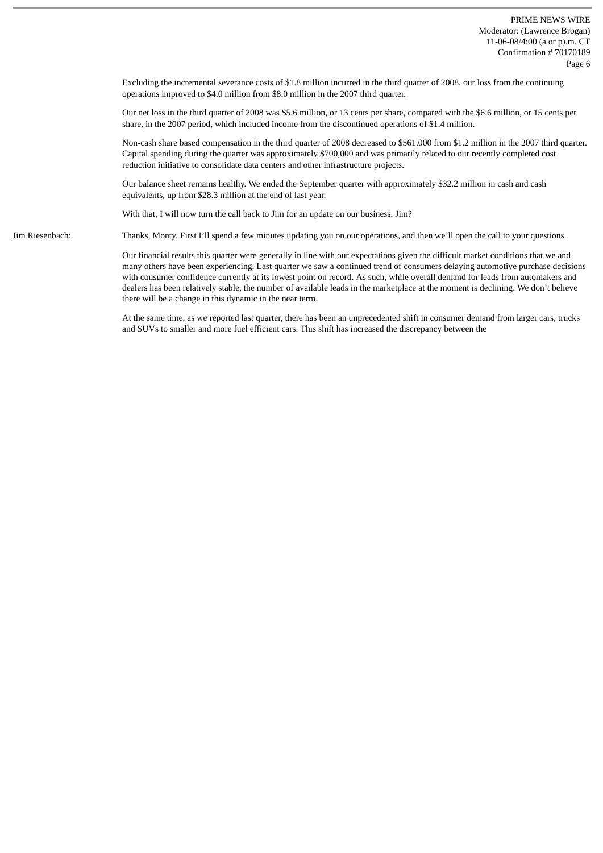Excluding the incremental severance costs of \$1.8 million incurred in the third quarter of 2008, our loss from the continuing operations improved to \$4.0 million from \$8.0 million in the 2007 third quarter.

Our net loss in the third quarter of 2008 was \$5.6 million, or 13 cents per share, compared with the \$6.6 million, or 15 cents per share, in the 2007 period, which included income from the discontinued operations of \$1.4 million.

Non-cash share based compensation in the third quarter of 2008 decreased to \$561,000 from \$1.2 million in the 2007 third quarter. Capital spending during the quarter was approximately \$700,000 and was primarily related to our recently completed cost reduction initiative to consolidate data centers and other infrastructure projects.

Our balance sheet remains healthy. We ended the September quarter with approximately \$32.2 million in cash and cash equivalents, up from \$28.3 million at the end of last year.

With that, I will now turn the call back to Jim for an update on our business. Jim?

Jim Riesenbach: Thanks, Monty. First I'll spend a few minutes updating you on our operations, and then we'll open the call to your questions.

Our financial results this quarter were generally in line with our expectations given the difficult market conditions that we and many others have been experiencing. Last quarter we saw a continued trend of consumers delaying automotive purchase decisions with consumer confidence currently at its lowest point on record. As such, while overall demand for leads from automakers and dealers has been relatively stable, the number of available leads in the marketplace at the moment is declining. We don't believe there will be a change in this dynamic in the near term.

At the same time, as we reported last quarter, there has been an unprecedented shift in consumer demand from larger cars, trucks and SUVs to smaller and more fuel efficient cars. This shift has increased the discrepancy between the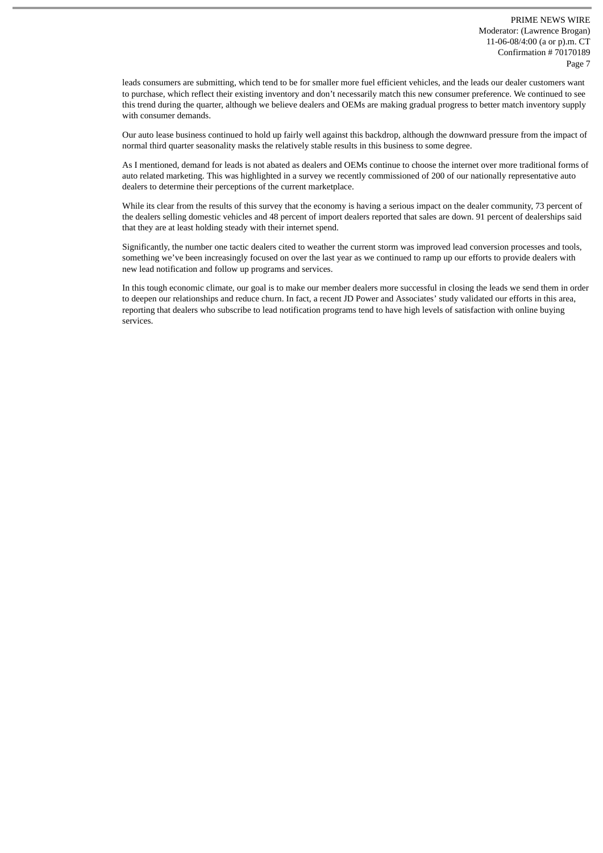leads consumers are submitting, which tend to be for smaller more fuel efficient vehicles, and the leads our dealer customers want to purchase, which reflect their existing inventory and don't necessarily match this new consumer preference. We continued to see this trend during the quarter, although we believe dealers and OEMs are making gradual progress to better match inventory supply with consumer demands.

Our auto lease business continued to hold up fairly well against this backdrop, although the downward pressure from the impact of normal third quarter seasonality masks the relatively stable results in this business to some degree.

As I mentioned, demand for leads is not abated as dealers and OEMs continue to choose the internet over more traditional forms of auto related marketing. This was highlighted in a survey we recently commissioned of 200 of our nationally representative auto dealers to determine their perceptions of the current marketplace.

While its clear from the results of this survey that the economy is having a serious impact on the dealer community, 73 percent of the dealers selling domestic vehicles and 48 percent of import dealers reported that sales are down. 91 percent of dealerships said that they are at least holding steady with their internet spend.

Significantly, the number one tactic dealers cited to weather the current storm was improved lead conversion processes and tools, something we've been increasingly focused on over the last year as we continued to ramp up our efforts to provide dealers with new lead notification and follow up programs and services.

In this tough economic climate, our goal is to make our member dealers more successful in closing the leads we send them in order to deepen our relationships and reduce churn. In fact, a recent JD Power and Associates' study validated our efforts in this area, reporting that dealers who subscribe to lead notification programs tend to have high levels of satisfaction with online buying services.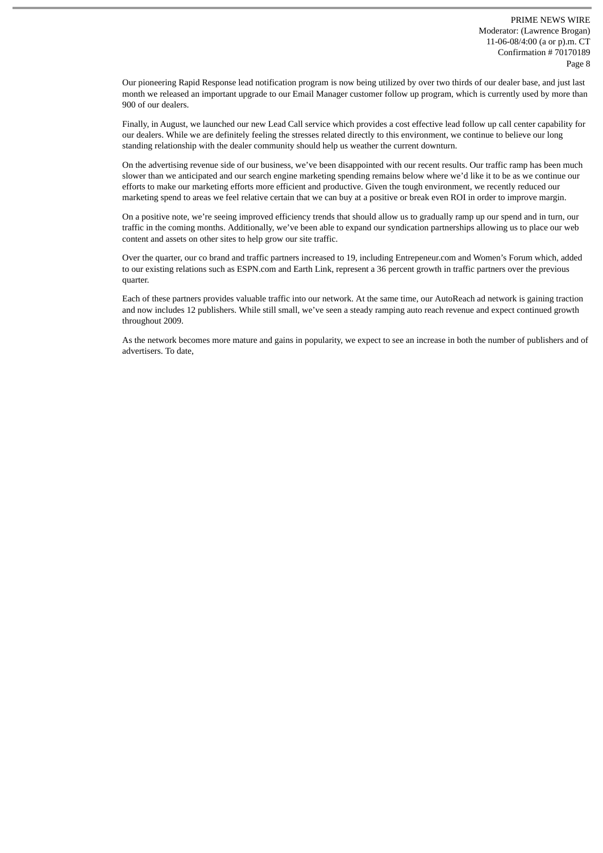Our pioneering Rapid Response lead notification program is now being utilized by over two thirds of our dealer base, and just last month we released an important upgrade to our Email Manager customer follow up program, which is currently used by more than 900 of our dealers.

Finally, in August, we launched our new Lead Call service which provides a cost effective lead follow up call center capability for our dealers. While we are definitely feeling the stresses related directly to this environment, we continue to believe our long standing relationship with the dealer community should help us weather the current downturn.

On the advertising revenue side of our business, we've been disappointed with our recent results. Our traffic ramp has been much slower than we anticipated and our search engine marketing spending remains below where we'd like it to be as we continue our efforts to make our marketing efforts more efficient and productive. Given the tough environment, we recently reduced our marketing spend to areas we feel relative certain that we can buy at a positive or break even ROI in order to improve margin.

On a positive note, we're seeing improved efficiency trends that should allow us to gradually ramp up our spend and in turn, our traffic in the coming months. Additionally, we've been able to expand our syndication partnerships allowing us to place our web content and assets on other sites to help grow our site traffic.

Over the quarter, our co brand and traffic partners increased to 19, including Entrepeneur.com and Women's Forum which, added to our existing relations such as ESPN.com and Earth Link, represent a 36 percent growth in traffic partners over the previous quarter.

Each of these partners provides valuable traffic into our network. At the same time, our AutoReach ad network is gaining traction and now includes 12 publishers. While still small, we've seen a steady ramping auto reach revenue and expect continued growth throughout 2009.

As the network becomes more mature and gains in popularity, we expect to see an increase in both the number of publishers and of advertisers. To date,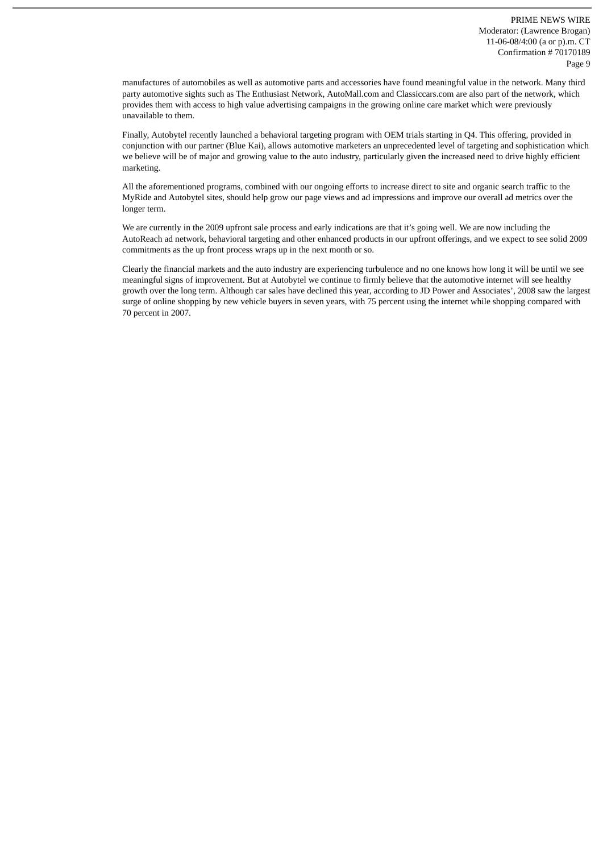manufactures of automobiles as well as automotive parts and accessories have found meaningful value in the network. Many third party automotive sights such as The Enthusiast Network, AutoMall.com and Classiccars.com are also part of the network, which provides them with access to high value advertising campaigns in the growing online care market which were previously unavailable to them.

Finally, Autobytel recently launched a behavioral targeting program with OEM trials starting in Q4. This offering, provided in conjunction with our partner (Blue Kai), allows automotive marketers an unprecedented level of targeting and sophistication which we believe will be of major and growing value to the auto industry, particularly given the increased need to drive highly efficient marketing.

All the aforementioned programs, combined with our ongoing efforts to increase direct to site and organic search traffic to the MyRide and Autobytel sites, should help grow our page views and ad impressions and improve our overall ad metrics over the longer term.

We are currently in the 2009 upfront sale process and early indications are that it's going well. We are now including the AutoReach ad network, behavioral targeting and other enhanced products in our upfront offerings, and we expect to see solid 2009 commitments as the up front process wraps up in the next month or so.

Clearly the financial markets and the auto industry are experiencing turbulence and no one knows how long it will be until we see meaningful signs of improvement. But at Autobytel we continue to firmly believe that the automotive internet will see healthy growth over the long term. Although car sales have declined this year, according to JD Power and Associates', 2008 saw the largest surge of online shopping by new vehicle buyers in seven years, with 75 percent using the internet while shopping compared with 70 percent in 2007.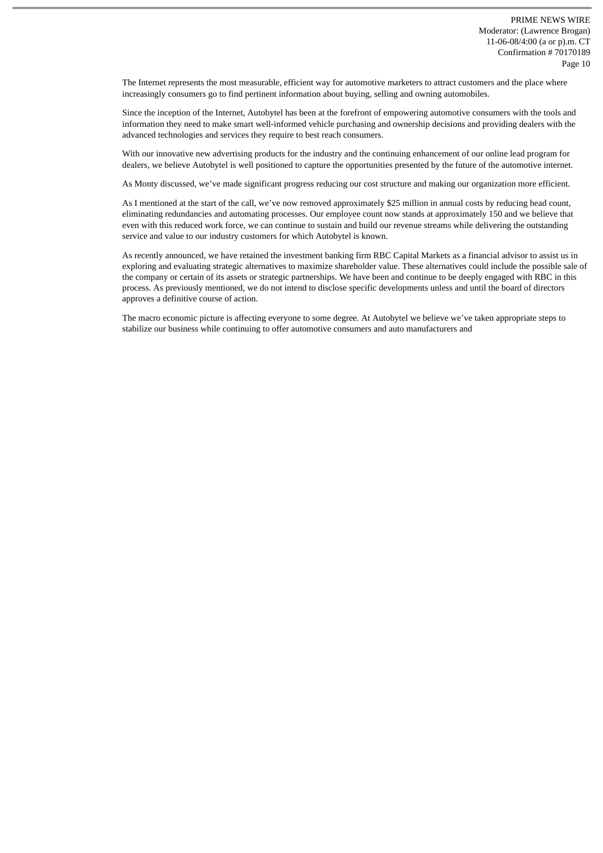The Internet represents the most measurable, efficient way for automotive marketers to attract customers and the place where increasingly consumers go to find pertinent information about buying, selling and owning automobiles.

Since the inception of the Internet, Autobytel has been at the forefront of empowering automotive consumers with the tools and information they need to make smart well-informed vehicle purchasing and ownership decisions and providing dealers with the advanced technologies and services they require to best reach consumers.

With our innovative new advertising products for the industry and the continuing enhancement of our online lead program for dealers, we believe Autobytel is well positioned to capture the opportunities presented by the future of the automotive internet.

As Monty discussed, we've made significant progress reducing our cost structure and making our organization more efficient.

As I mentioned at the start of the call, we've now removed approximately \$25 million in annual costs by reducing head count, eliminating redundancies and automating processes. Our employee count now stands at approximately 150 and we believe that even with this reduced work force, we can continue to sustain and build our revenue streams while delivering the outstanding service and value to our industry customers for which Autobytel is known.

As recently announced, we have retained the investment banking firm RBC Capital Markets as a financial advisor to assist us in exploring and evaluating strategic alternatives to maximize shareholder value. These alternatives could include the possible sale of the company or certain of its assets or strategic partnerships. We have been and continue to be deeply engaged with RBC in this process. As previously mentioned, we do not intend to disclose specific developments unless and until the board of directors approves a definitive course of action.

The macro economic picture is affecting everyone to some degree. At Autobytel we believe we've taken appropriate steps to stabilize our business while continuing to offer automotive consumers and auto manufacturers and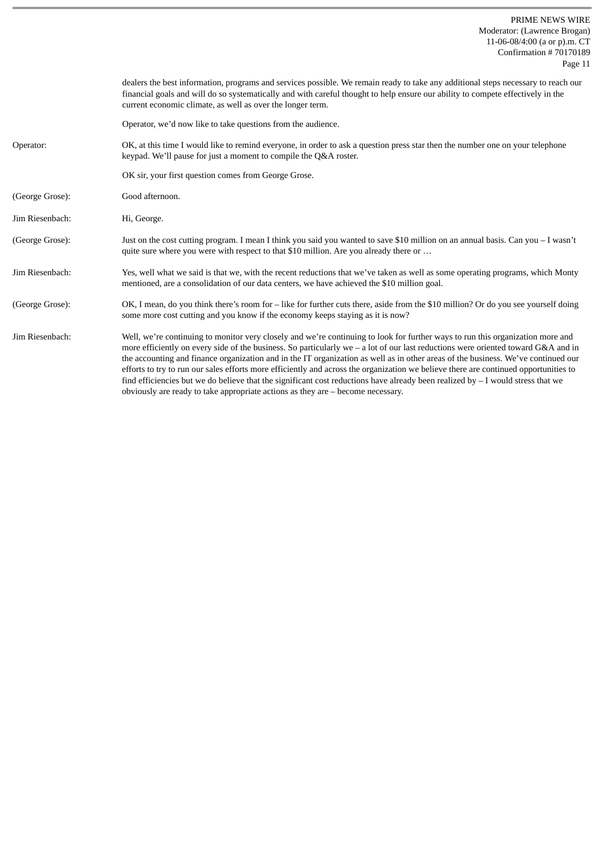PRIME NEWS WIRE Moderator: (Lawrence Brogan) 11-06-08/4:00 (a or p).m. CT Confirmation # 70170189 Page 11

|                 | dealers the best information, programs and services possible. We remain ready to take any additional steps necessary to reach our<br>financial goals and will do so systematically and with careful thought to help ensure our ability to compete effectively in the<br>current economic climate, as well as over the longer term.                                                                                                                                                                                                                                                                                                                                                                                                                                          |
|-----------------|-----------------------------------------------------------------------------------------------------------------------------------------------------------------------------------------------------------------------------------------------------------------------------------------------------------------------------------------------------------------------------------------------------------------------------------------------------------------------------------------------------------------------------------------------------------------------------------------------------------------------------------------------------------------------------------------------------------------------------------------------------------------------------|
|                 | Operator, we'd now like to take questions from the audience.                                                                                                                                                                                                                                                                                                                                                                                                                                                                                                                                                                                                                                                                                                                |
| Operator:       | OK, at this time I would like to remind everyone, in order to ask a question press star then the number one on your telephone<br>keypad. We'll pause for just a moment to compile the Q&A roster.                                                                                                                                                                                                                                                                                                                                                                                                                                                                                                                                                                           |
|                 | OK sir, your first question comes from George Grose.                                                                                                                                                                                                                                                                                                                                                                                                                                                                                                                                                                                                                                                                                                                        |
| (George Grose): | Good afternoon.                                                                                                                                                                                                                                                                                                                                                                                                                                                                                                                                                                                                                                                                                                                                                             |
| Jim Riesenbach: | Hi, George.                                                                                                                                                                                                                                                                                                                                                                                                                                                                                                                                                                                                                                                                                                                                                                 |
| (George Grose): | Just on the cost cutting program. I mean I think you said you wanted to save \$10 million on an annual basis. Can you – I wasn't<br>quite sure where you were with respect to that \$10 million. Are you already there or                                                                                                                                                                                                                                                                                                                                                                                                                                                                                                                                                   |
| Jim Riesenbach: | Yes, well what we said is that we, with the recent reductions that we've taken as well as some operating programs, which Monty<br>mentioned, are a consolidation of our data centers, we have achieved the \$10 million goal.                                                                                                                                                                                                                                                                                                                                                                                                                                                                                                                                               |
| (George Grose): | OK, I mean, do you think there's room for - like for further cuts there, aside from the \$10 million? Or do you see yourself doing<br>some more cost cutting and you know if the economy keeps staying as it is now?                                                                                                                                                                                                                                                                                                                                                                                                                                                                                                                                                        |
| Jim Riesenbach: | Well, we're continuing to monitor very closely and we're continuing to look for further ways to run this organization more and<br>more efficiently on every side of the business. So particularly we $-$ a lot of our last reductions were oriented toward G&A and in<br>the accounting and finance organization and in the IT organization as well as in other areas of the business. We've continued our<br>efforts to try to run our sales efforts more efficiently and across the organization we believe there are continued opportunities to<br>find efficiencies but we do believe that the significant cost reductions have already been realized by $-1$ would stress that we<br>obviously are ready to take appropriate actions as they are $-$ become necessary. |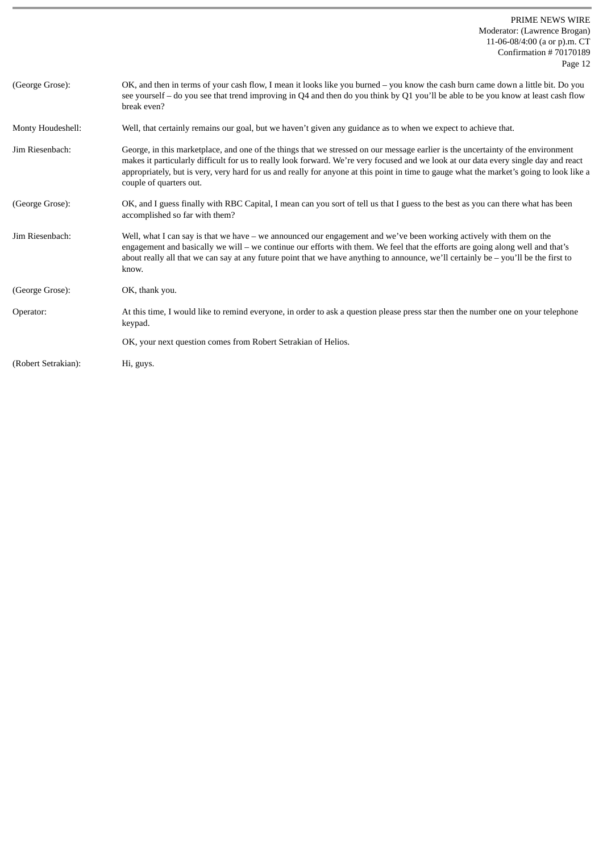| (George Grose):     | OK, and then in terms of your cash flow, I mean it looks like you burned – you know the cash burn came down a little bit. Do you<br>see yourself - do you see that trend improving in Q4 and then do you think by Q1 you'll be able to be you know at least cash flow<br>break even?                                                                                                                                                            |
|---------------------|-------------------------------------------------------------------------------------------------------------------------------------------------------------------------------------------------------------------------------------------------------------------------------------------------------------------------------------------------------------------------------------------------------------------------------------------------|
| Monty Houdeshell:   | Well, that certainly remains our goal, but we haven't given any guidance as to when we expect to achieve that.                                                                                                                                                                                                                                                                                                                                  |
| Jim Riesenbach:     | George, in this marketplace, and one of the things that we stressed on our message earlier is the uncertainty of the environment<br>makes it particularly difficult for us to really look forward. We're very focused and we look at our data every single day and react<br>appropriately, but is very, very hard for us and really for anyone at this point in time to gauge what the market's going to look like a<br>couple of quarters out. |
| (George Grose):     | OK, and I guess finally with RBC Capital, I mean can you sort of tell us that I guess to the best as you can there what has been<br>accomplished so far with them?                                                                                                                                                                                                                                                                              |
| Jim Riesenbach:     | Well, what I can say is that we have – we announced our engagement and we've been working actively with them on the<br>engagement and basically we will - we continue our efforts with them. We feel that the efforts are going along well and that's<br>about really all that we can say at any future point that we have anything to announce, we'll certainly be $-$ you'll be the first to<br>know.                                         |
| (George Grose):     | OK, thank you.                                                                                                                                                                                                                                                                                                                                                                                                                                  |
| Operator:           | At this time, I would like to remind everyone, in order to ask a question please press star then the number one on your telephone<br>keypad.                                                                                                                                                                                                                                                                                                    |
|                     | OK, your next question comes from Robert Setrakian of Helios.                                                                                                                                                                                                                                                                                                                                                                                   |
| (Robert Setrakian): | Hi, guys.                                                                                                                                                                                                                                                                                                                                                                                                                                       |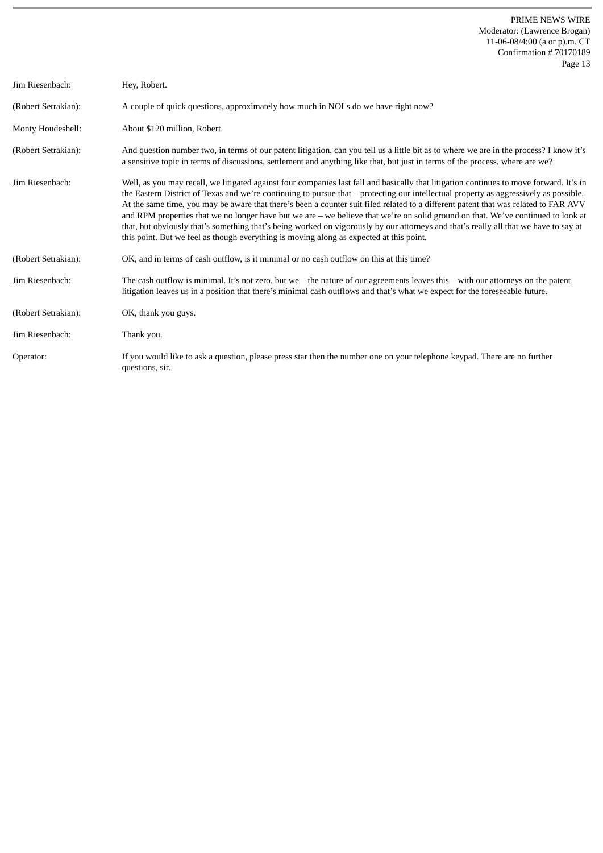| Jim Riesenbach:     | Hey, Robert.                                                                                                                                                                                                                                                                                                                                                                                                                                                                                                                                                                                                                                                                                                                                                                                     |
|---------------------|--------------------------------------------------------------------------------------------------------------------------------------------------------------------------------------------------------------------------------------------------------------------------------------------------------------------------------------------------------------------------------------------------------------------------------------------------------------------------------------------------------------------------------------------------------------------------------------------------------------------------------------------------------------------------------------------------------------------------------------------------------------------------------------------------|
| (Robert Setrakian): | A couple of quick questions, approximately how much in NOLs do we have right now?                                                                                                                                                                                                                                                                                                                                                                                                                                                                                                                                                                                                                                                                                                                |
| Monty Houdeshell:   | About \$120 million, Robert.                                                                                                                                                                                                                                                                                                                                                                                                                                                                                                                                                                                                                                                                                                                                                                     |
| (Robert Setrakian): | And question number two, in terms of our patent litigation, can you tell us a little bit as to where we are in the process? I know it's<br>a sensitive topic in terms of discussions, settlement and anything like that, but just in terms of the process, where are we?                                                                                                                                                                                                                                                                                                                                                                                                                                                                                                                         |
| Jim Riesenbach:     | Well, as you may recall, we litigated against four companies last fall and basically that litigation continues to move forward. It's in<br>the Eastern District of Texas and we're continuing to pursue that – protecting our intellectual property as aggressively as possible.<br>At the same time, you may be aware that there's been a counter suit filed related to a different patent that was related to FAR AVV<br>and RPM properties that we no longer have but we are $-$ we believe that we're on solid ground on that. We've continued to look at<br>that, but obviously that's something that's being worked on vigorously by our attorneys and that's really all that we have to say at<br>this point. But we feel as though everything is moving along as expected at this point. |
| (Robert Setrakian): | OK, and in terms of cash outflow, is it minimal or no cash outflow on this at this time?                                                                                                                                                                                                                                                                                                                                                                                                                                                                                                                                                                                                                                                                                                         |
| Jim Riesenbach:     | The cash outflow is minimal. It's not zero, but we $-$ the nature of our agreements leaves this $-$ with our attorneys on the patent<br>litigation leaves us in a position that there's minimal cash outflows and that's what we expect for the foreseeable future.                                                                                                                                                                                                                                                                                                                                                                                                                                                                                                                              |
| (Robert Setrakian): | OK, thank you guys.                                                                                                                                                                                                                                                                                                                                                                                                                                                                                                                                                                                                                                                                                                                                                                              |
| Jim Riesenbach:     | Thank you.                                                                                                                                                                                                                                                                                                                                                                                                                                                                                                                                                                                                                                                                                                                                                                                       |
| Operator:           | If you would like to ask a question, please press star then the number one on your telephone keypad. There are no further<br>questions, sir.                                                                                                                                                                                                                                                                                                                                                                                                                                                                                                                                                                                                                                                     |